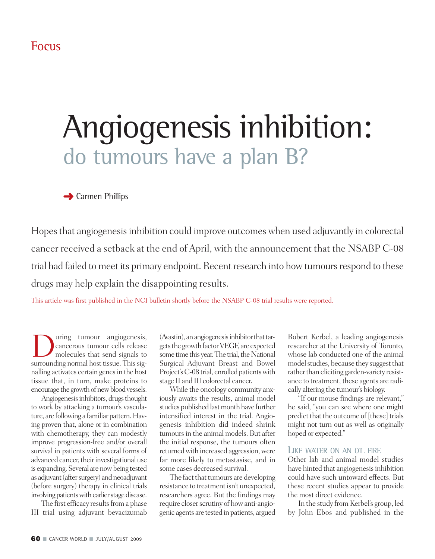## Angiogenesis inhibition: do tumours have a plan B?

**➜** Carmen Phillips

Hopes that angiogenesis inhibition could improve outcomes when used adjuvantly in colorectal cancer received a setback at the end of April, with the announcement that the NSABP C-08 trial had failed to meet its primary endpoint. Recent research into how tumours respond to these drugs may help explain the disappointing results.

This article was first published in the NCI bulletin shortly before the NSABP C-08 trial results were reported.

**D**uring tumour angiogenesis,<br>cancerous tumour cells release<br>molecules that send signals to<br>surrounding normal host tissue This sigcancerous tumour cells release molecules that send signals to surrounding normal host tissue. This signalling activates certain genes in the host tissue that, in turn, make proteins to encourage the growth of new blood vessels.

Angiogenesis inhibitors, drugs thought to work by attacking a tumour's vasculature, are following a familiar pattern.Having proven that, alone or in combination with chemotherapy, they can modestly improve progression-free and/or overall survival in patients with several forms of advanced cancer, their investigational use is expanding. Several are now being tested as adjuvant (after surgery) and neoadjuvant (before surgery) therapy in clinical trials involving patients with earlier stage disease.

The first efficacy results from a phase III trial using adjuvant bevacizumab (Avastin), an angiogenesis inhibitor that targets the growth factor VEGF, are expected some time this year. The trial, the National Surgical Adjuvant Breast and Bowel Project's C-08 trial, enrolled patients with stage II and III colorectal cancer.

While the oncology community anxiously awaits the results, animal model studies published last month have further intensified interest in the trial. Angiogenesis inhibition did indeed shrink tumours in the animal models. But after the initial response, the tumours often returned with increased aggression, were far more likely to metastasise, and in some cases decreased survival.

The fact that tumours are developing resistance to treatment isn't unexpected, researchers agree. But the findings may require closer scrutiny of how anti-angiogenic agents are tested in patients, argued

Robert Kerbel, a leading angiogenesis researcher at the University of Toronto, whose lab conducted one of the animal model studies, because they suggest that rather than eliciting garden-variety resistance to treatment, these agents are radically altering the tumour's biology.

"If our mouse findings are relevant," he said, "you can see where one might predict that the outcome of [these] trials might not turn out as well as originally hoped or expected."

## LIKE WATER ON AN OIL FIRE

Other lab and animal model studies have hinted that angiogenesis inhibition could have such untoward effects. But these recent studies appear to provide the most direct evidence.

In the study fromKerbel's group, led by John Ebos and published in the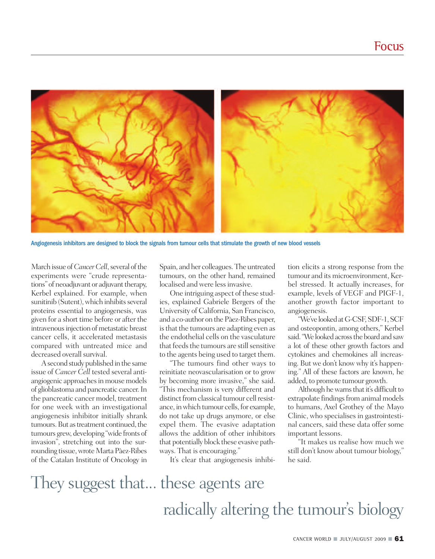

Angiogenesis inhibitors are designed to block the signals from tumour cells that stimulate the growth of new blood vessels

March issue of *Cancer Cell*, several of the experiments were "crude representations" of neoadjuvant or adjuvant therapy, Kerbel explained. For example, when sunitinib (Sutent), which inhibits several proteins essential to angiogenesis, was given for a short time before or after the intravenous injection of metastatic breast cancer cells, it accelerated metastasis compared with untreated mice and decreased overall survival.

A second study published in the same issue of *Cancer Cell* tested several antiangiogenic approaches in mouse models of glioblastoma and pancreatic cancer.In the pancreatic cancer model, treatment for one week with an investigational angiogenesis inhibitor initially shrank tumours. But as treatment continued, the tumours grew, developing "wide fronts of invasion", stretching out into the surrounding tissue, wrote Marta Pàez-Ribes of the Catalan Institute of Oncology in Spain, and her colleagues.The untreated tumours, on the other hand, remained localised and were less invasive.

One intriguing aspect of these studies, explained Gabriele Bergers of the University of California, San Francisco, and a co-author on the Pàez-Ribes paper, isthat the tumours are adapting even as the endothelial cells on the vasculature that feeds the tumours are still sensitive to the agents being used to target them.

"The tumours find other ways to reinitiate neovascularisation or to grow by becoming more invasive," she said. "This mechanism is very different and distinct from classical tumour cell resistance, in which tumour cells, for example, do not take up drugs anymore, or else expel them. The evasive adaptation allows the addition of other inhibitors that potentially block these evasive pathways. That is encouraging."

It's clear that angiogenesis inhibi-

tion elicits a strong response from the tumour and its microenvironment, Kerbel stressed. It actually increases, for example, levels of VEGF and PIGF-1, another growth factor important to angiogenesis.

"We've looked at G-CSF, SDF-1, SCF and osteopontin, among others," Kerbel said. "We looked across the board and saw a lot of these other growth factors and cytokines and chemokines all increasing. But we don't know why it's happening." All of these factors are known, he added, to promote tumour growth.

Although he warns that it's difficult to extrapolate findings from animal models to humans, Axel Grothey of the Mayo Clinic, who specialises in gastrointestinal cancers, said these data offer some important lessons.

"It makes us realise how much we still don't know about tumour biology," he said.

They suggest that... these agents are radically altering the tumour s biology '